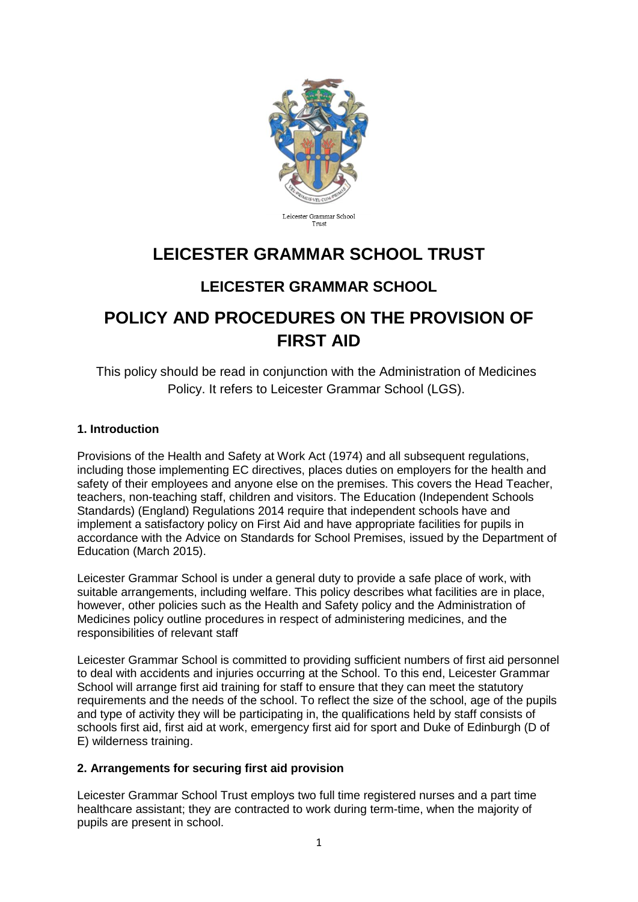

# **LEICESTER GRAMMAR SCHOOL TRUST**

# **LEICESTER GRAMMAR SCHOOL**

# **POLICY AND PROCEDURES ON THE PROVISION OF FIRST AID**

This policy should be read in conjunction with the Administration of Medicines Policy. It refers to Leicester Grammar School (LGS).

# **1. Introduction**

Provisions of the Health and Safety at Work Act (1974) and all subsequent regulations, including those implementing EC directives, places duties on employers for the health and safety of their employees and anyone else on the premises. This covers the Head Teacher, teachers, non-teaching staff, children and visitors. The Education (Independent Schools Standards) (England) Regulations 2014 require that independent schools have and implement a satisfactory policy on First Aid and have appropriate facilities for pupils in accordance with the Advice on Standards for School Premises, issued by the Department of Education (March 2015).

Leicester Grammar School is under a general duty to provide a safe place of work, with suitable arrangements, including welfare. This policy describes what facilities are in place, however, other policies such as the Health and Safety policy and the Administration of Medicines policy outline procedures in respect of administering medicines, and the responsibilities of relevant staff

Leicester Grammar School is committed to providing sufficient numbers of first aid personnel to deal with accidents and injuries occurring at the School. To this end, Leicester Grammar School will arrange first aid training for staff to ensure that they can meet the statutory requirements and the needs of the school. To reflect the size of the school, age of the pupils and type of activity they will be participating in, the qualifications held by staff consists of schools first aid, first aid at work, emergency first aid for sport and Duke of Edinburgh (D of E) wilderness training.

#### **2. Arrangements for securing first aid provision**

Leicester Grammar School Trust employs two full time registered nurses and a part time healthcare assistant; they are contracted to work during term-time, when the majority of pupils are present in school.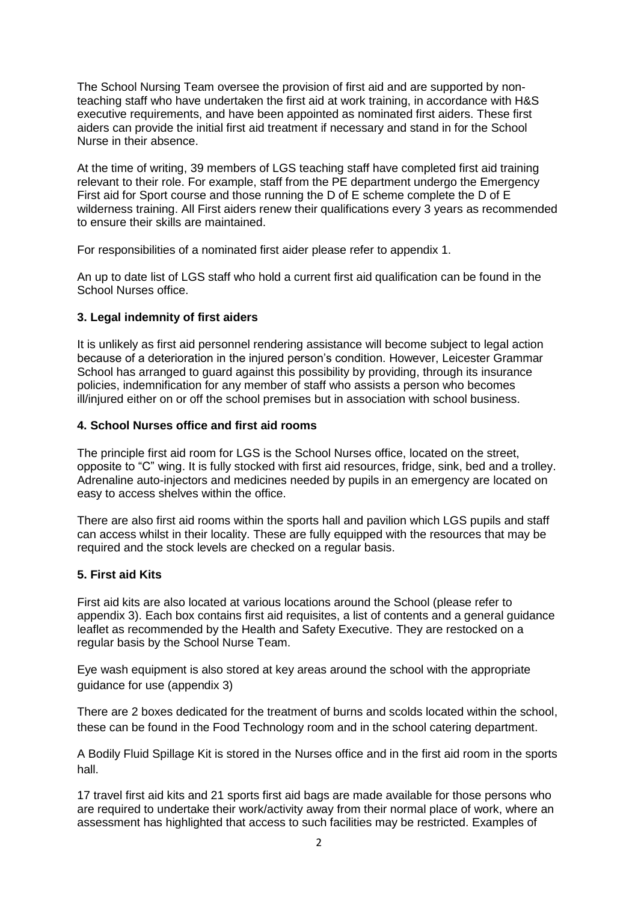The School Nursing Team oversee the provision of first aid and are supported by nonteaching staff who have undertaken the first aid at work training, in accordance with H&S executive requirements, and have been appointed as nominated first aiders. These first aiders can provide the initial first aid treatment if necessary and stand in for the School Nurse in their absence.

At the time of writing, 39 members of LGS teaching staff have completed first aid training relevant to their role. For example, staff from the PE department undergo the Emergency First aid for Sport course and those running the D of E scheme complete the D of E wilderness training. All First aiders renew their qualifications every 3 years as recommended to ensure their skills are maintained.

For responsibilities of a nominated first aider please refer to appendix 1.

An up to date list of LGS staff who hold a current first aid qualification can be found in the School Nurses office.

# **3. Legal indemnity of first aiders**

It is unlikely as first aid personnel rendering assistance will become subject to legal action because of a deterioration in the injured person's condition. However, Leicester Grammar School has arranged to guard against this possibility by providing, through its insurance policies, indemnification for any member of staff who assists a person who becomes ill/injured either on or off the school premises but in association with school business.

#### **4. School Nurses office and first aid rooms**

The principle first aid room for LGS is the School Nurses office, located on the street, opposite to "C" wing. It is fully stocked with first aid resources, fridge, sink, bed and a trolley. Adrenaline auto-injectors and medicines needed by pupils in an emergency are located on easy to access shelves within the office.

There are also first aid rooms within the sports hall and pavilion which LGS pupils and staff can access whilst in their locality. These are fully equipped with the resources that may be required and the stock levels are checked on a regular basis.

#### **5. First aid Kits**

First aid kits are also located at various locations around the School (please refer to appendix 3). Each box contains first aid requisites, a list of contents and a general guidance leaflet as recommended by the Health and Safety Executive. They are restocked on a regular basis by the School Nurse Team.

Eye wash equipment is also stored at key areas around the school with the appropriate guidance for use (appendix 3)

There are 2 boxes dedicated for the treatment of burns and scolds located within the school, these can be found in the Food Technology room and in the school catering department.

A Bodily Fluid Spillage Kit is stored in the Nurses office and in the first aid room in the sports hall.

17 travel first aid kits and 21 sports first aid bags are made available for those persons who are required to undertake their work/activity away from their normal place of work, where an assessment has highlighted that access to such facilities may be restricted. Examples of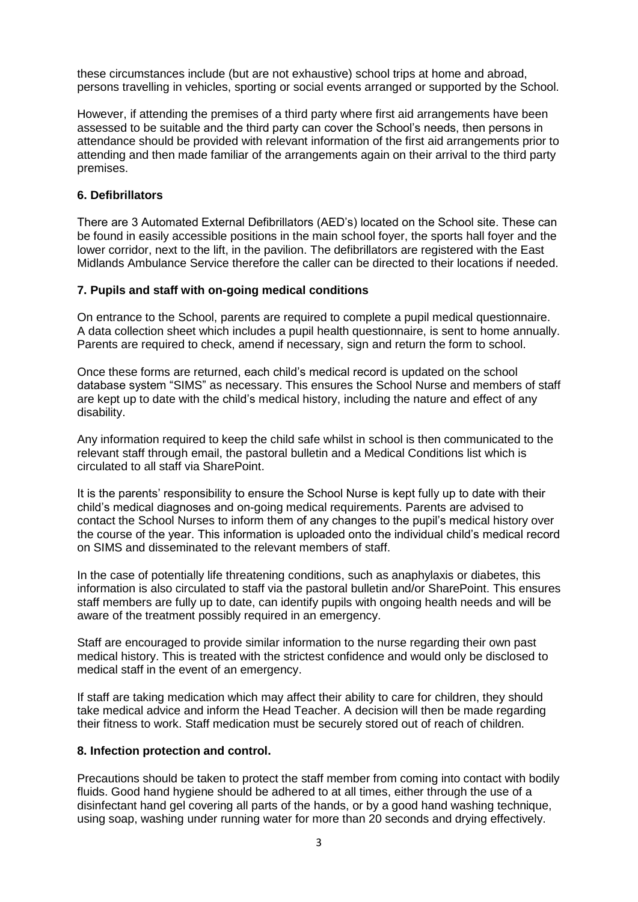these circumstances include (but are not exhaustive) school trips at home and abroad, persons travelling in vehicles, sporting or social events arranged or supported by the School.

However, if attending the premises of a third party where first aid arrangements have been assessed to be suitable and the third party can cover the School's needs, then persons in attendance should be provided with relevant information of the first aid arrangements prior to attending and then made familiar of the arrangements again on their arrival to the third party premises.

# **6. Defibrillators**

There are 3 Automated External Defibrillators (AED's) located on the School site. These can be found in easily accessible positions in the main school foyer, the sports hall foyer and the lower corridor, next to the lift, in the pavilion. The defibrillators are registered with the East Midlands Ambulance Service therefore the caller can be directed to their locations if needed.

#### **7. Pupils and staff with on-going medical conditions**

On entrance to the School, parents are required to complete a pupil medical questionnaire. A data collection sheet which includes a pupil health questionnaire, is sent to home annually. Parents are required to check, amend if necessary, sign and return the form to school.

Once these forms are returned, each child's medical record is updated on the school database system "SIMS" as necessary. This ensures the School Nurse and members of staff are kept up to date with the child's medical history, including the nature and effect of any disability.

Any information required to keep the child safe whilst in school is then communicated to the relevant staff through email, the pastoral bulletin and a Medical Conditions list which is circulated to all staff via SharePoint.

It is the parents' responsibility to ensure the School Nurse is kept fully up to date with their child's medical diagnoses and on-going medical requirements. Parents are advised to contact the School Nurses to inform them of any changes to the pupil's medical history over the course of the year. This information is uploaded onto the individual child's medical record on SIMS and disseminated to the relevant members of staff.

In the case of potentially life threatening conditions, such as anaphylaxis or diabetes, this information is also circulated to staff via the pastoral bulletin and/or SharePoint. This ensures staff members are fully up to date, can identify pupils with ongoing health needs and will be aware of the treatment possibly required in an emergency.

Staff are encouraged to provide similar information to the nurse regarding their own past medical history. This is treated with the strictest confidence and would only be disclosed to medical staff in the event of an emergency.

If staff are taking medication which may affect their ability to care for children, they should take medical advice and inform the Head Teacher. A decision will then be made regarding their fitness to work. Staff medication must be securely stored out of reach of children.

#### **8. Infection protection and control.**

Precautions should be taken to protect the staff member from coming into contact with bodily fluids. Good hand hygiene should be adhered to at all times, either through the use of a disinfectant hand gel covering all parts of the hands, or by a good hand washing technique, using soap, washing under running water for more than 20 seconds and drying effectively.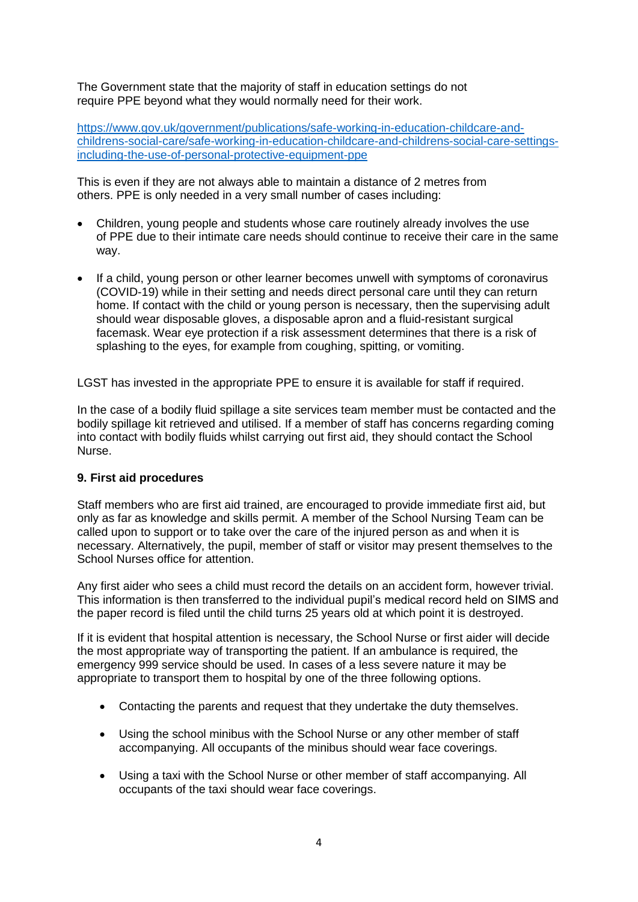The Government state that the majority of staff in education settings do not require PPE beyond what they would normally need for their work.

[https://www.gov.uk/government/publications/safe-working-in-education-childcare-and](https://www.gov.uk/government/publications/safe-working-in-education-childcare-and-childrens-social-care/safe-working-in-education-childcare-and-childrens-social-care-settings-including-the-use-of-personal-protective-equipment-ppe)[childrens-social-care/safe-working-in-education-childcare-and-childrens-social-care-settings](https://www.gov.uk/government/publications/safe-working-in-education-childcare-and-childrens-social-care/safe-working-in-education-childcare-and-childrens-social-care-settings-including-the-use-of-personal-protective-equipment-ppe)[including-the-use-of-personal-protective-equipment-ppe](https://www.gov.uk/government/publications/safe-working-in-education-childcare-and-childrens-social-care/safe-working-in-education-childcare-and-childrens-social-care-settings-including-the-use-of-personal-protective-equipment-ppe)

This is even if they are not always able to maintain a distance of 2 metres from others. PPE is only needed in a very small number of cases including:

- Children, young people and students whose care routinely already involves the use of PPE due to their intimate care needs should continue to receive their care in the same way.
- If a child, young person or other learner becomes unwell with symptoms of coronavirus (COVID-19) while in their setting and needs direct personal care until they can return home. If contact with the child or young person is necessary, then the supervising adult should wear disposable gloves, a disposable apron and a fluid-resistant surgical facemask. Wear eye protection if a risk assessment determines that there is a risk of splashing to the eyes, for example from coughing, spitting, or vomiting.

LGST has invested in the appropriate PPE to ensure it is available for staff if required.

In the case of a bodily fluid spillage a site services team member must be contacted and the bodily spillage kit retrieved and utilised. If a member of staff has concerns regarding coming into contact with bodily fluids whilst carrying out first aid, they should contact the School Nurse.

#### **9. First aid procedures**

Staff members who are first aid trained, are encouraged to provide immediate first aid, but only as far as knowledge and skills permit. A member of the School Nursing Team can be called upon to support or to take over the care of the injured person as and when it is necessary. Alternatively, the pupil, member of staff or visitor may present themselves to the School Nurses office for attention.

Any first aider who sees a child must record the details on an accident form, however trivial. This information is then transferred to the individual pupil's medical record held on SIMS and the paper record is filed until the child turns 25 years old at which point it is destroyed.

If it is evident that hospital attention is necessary, the School Nurse or first aider will decide the most appropriate way of transporting the patient. If an ambulance is required, the emergency 999 service should be used. In cases of a less severe nature it may be appropriate to transport them to hospital by one of the three following options.

- Contacting the parents and request that they undertake the duty themselves.
- Using the school minibus with the School Nurse or any other member of staff accompanying. All occupants of the minibus should wear face coverings.
- Using a taxi with the School Nurse or other member of staff accompanying. All occupants of the taxi should wear face coverings.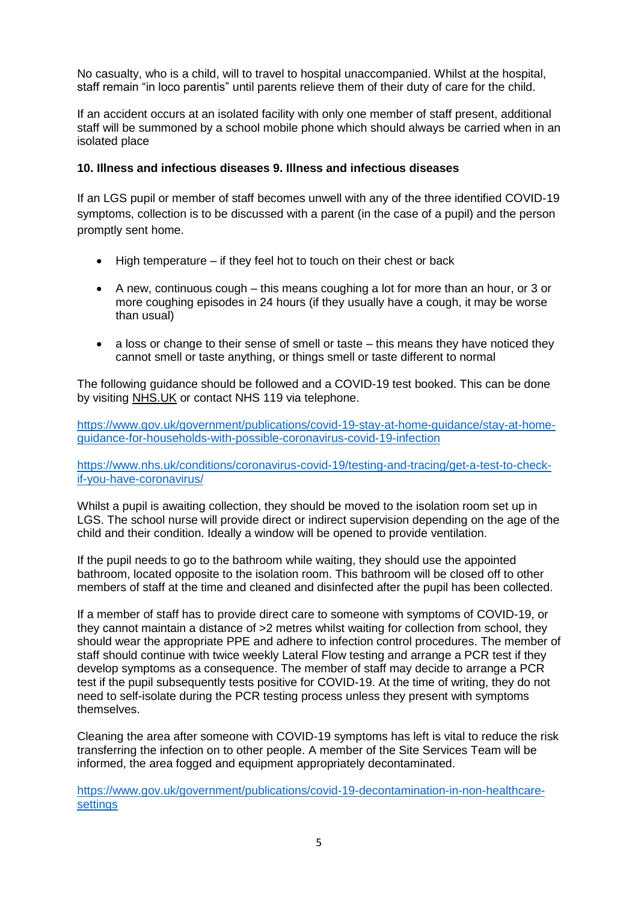No casualty, who is a child, will to travel to hospital unaccompanied. Whilst at the hospital, staff remain "in loco parentis" until parents relieve them of their duty of care for the child.

If an accident occurs at an isolated facility with only one member of staff present, additional staff will be summoned by a school mobile phone which should always be carried when in an isolated place

# **10. Illness and infectious diseases 9. Illness and infectious diseases**

If an LGS pupil or member of staff becomes unwell with any of the three identified COVID-19 symptoms, collection is to be discussed with a parent (in the case of a pupil) and the person promptly sent home.

- High temperature if they feel hot to touch on their chest or back
- A new, continuous cough this means coughing a lot for more than an hour, or 3 or more coughing episodes in 24 hours (if they usually have a cough, it may be worse than usual)
- a loss or change to their sense of smell or taste this means they have noticed they cannot smell or taste anything, or things smell or taste different to normal

The following guidance should be followed and a COVID-19 test booked. This can be done by visiting [NHS.UK](https://www.nhs.uk/conditions/coronavirus-covid-19/testing-for-coronavirus/ask-for-a-test-to-check-if-you-have-coronavirus/) or contact NHS 119 via telephone.

[https://www.gov.uk/government/publications/covid-19-stay-at-home-guidance/stay-at-home](https://www.gov.uk/government/publications/covid-19-stay-at-home-guidance/stay-at-home-guidance-for-households-with-possible-coronavirus-covid-19-infection)[guidance-for-households-with-possible-coronavirus-covid-19-infection](https://www.gov.uk/government/publications/covid-19-stay-at-home-guidance/stay-at-home-guidance-for-households-with-possible-coronavirus-covid-19-infection)

[https://www.nhs.uk/conditions/coronavirus-covid-19/testing-and-tracing/get-a-test-to-check](https://www.nhs.uk/conditions/coronavirus-covid-19/testing-and-tracing/get-a-test-to-check-if-you-have-coronavirus/)[if-you-have-coronavirus/](https://www.nhs.uk/conditions/coronavirus-covid-19/testing-and-tracing/get-a-test-to-check-if-you-have-coronavirus/)

Whilst a pupil is awaiting collection, they should be moved to the isolation room set up in LGS. The school nurse will provide direct or indirect supervision depending on the age of the child and their condition. Ideally a window will be opened to provide ventilation.

If the pupil needs to go to the bathroom while waiting, they should use the appointed bathroom, located opposite to the isolation room. This bathroom will be closed off to other members of staff at the time and cleaned and disinfected after the pupil has been collected.

If a member of staff has to provide direct care to someone with symptoms of COVID-19, or they cannot maintain a distance of >2 metres whilst waiting for collection from school, they should wear the appropriate PPE and adhere to infection control procedures. The member of staff should continue with twice weekly Lateral Flow testing and arrange a PCR test if they develop symptoms as a consequence. The member of staff may decide to arrange a PCR test if the pupil subsequently tests positive for COVID-19. At the time of writing, they do not need to self-isolate during the PCR testing process unless they present with symptoms themselves.

Cleaning the area after someone with COVID-19 symptoms has left is vital to reduce the risk transferring the infection on to other people. A member of the Site Services Team will be informed, the area fogged and equipment appropriately decontaminated.

[https://www.gov.uk/government/publications/covid-19-decontamination-in-non-healthcare](https://www.gov.uk/government/publications/covid-19-decontamination-in-non-healthcare-settings)[settings](https://www.gov.uk/government/publications/covid-19-decontamination-in-non-healthcare-settings)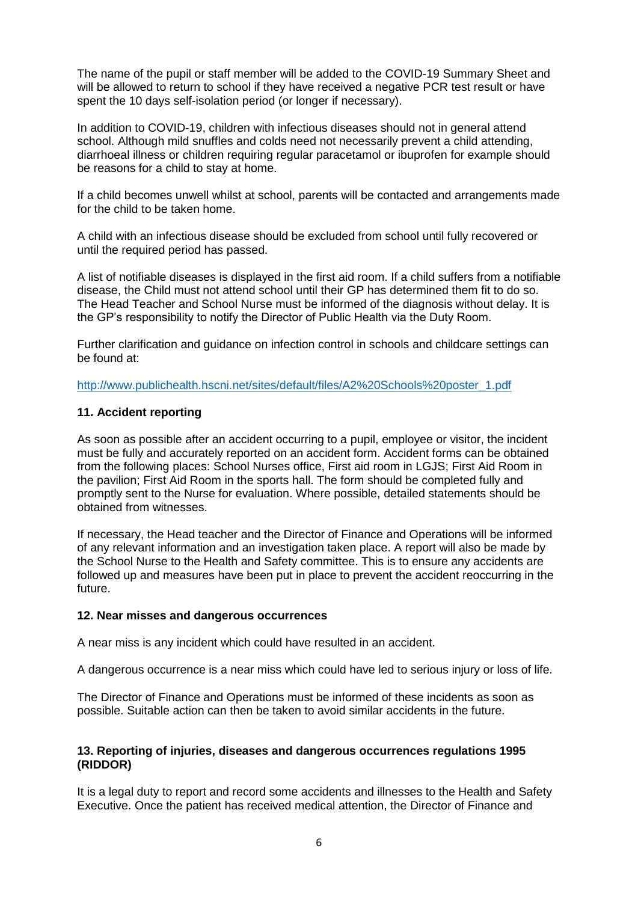The name of the pupil or staff member will be added to the COVID-19 Summary Sheet and will be allowed to return to school if they have received a negative PCR test result or have spent the 10 days self-isolation period (or longer if necessary).

In addition to COVID-19, children with infectious diseases should not in general attend school. Although mild snuffles and colds need not necessarily prevent a child attending, diarrhoeal illness or children requiring regular paracetamol or ibuprofen for example should be reasons for a child to stay at home.

If a child becomes unwell whilst at school, parents will be contacted and arrangements made for the child to be taken home.

A child with an infectious disease should be excluded from school until fully recovered or until the required period has passed.

A list of notifiable diseases is displayed in the first aid room. If a child suffers from a notifiable disease, the Child must not attend school until their GP has determined them fit to do so. The Head Teacher and School Nurse must be informed of the diagnosis without delay. It is the GP's responsibility to notify the Director of Public Health via the Duty Room.

Further clarification and guidance on infection control in schools and childcare settings can be found at:

[http://www.publichealth.hscni.net/sites/default/files/A2%20Schools%20poster\\_1.pdf](http://www.publichealth.hscni.net/sites/default/files/A2%20Schools%20poster_1.pdf)

#### **11. Accident reporting**

As soon as possible after an accident occurring to a pupil, employee or visitor, the incident must be fully and accurately reported on an accident form. Accident forms can be obtained from the following places: School Nurses office, First aid room in LGJS; First Aid Room in the pavilion; First Aid Room in the sports hall. The form should be completed fully and promptly sent to the Nurse for evaluation. Where possible, detailed statements should be obtained from witnesses.

If necessary, the Head teacher and the Director of Finance and Operations will be informed of any relevant information and an investigation taken place. A report will also be made by the School Nurse to the Health and Safety committee. This is to ensure any accidents are followed up and measures have been put in place to prevent the accident reoccurring in the future.

#### **12. Near misses and dangerous occurrences**

A near miss is any incident which could have resulted in an accident.

A dangerous occurrence is a near miss which could have led to serious injury or loss of life.

The Director of Finance and Operations must be informed of these incidents as soon as possible. Suitable action can then be taken to avoid similar accidents in the future.

#### **13. Reporting of injuries, diseases and dangerous occurrences regulations 1995 (RIDDOR)**

It is a legal duty to report and record some accidents and illnesses to the Health and Safety Executive. Once the patient has received medical attention, the Director of Finance and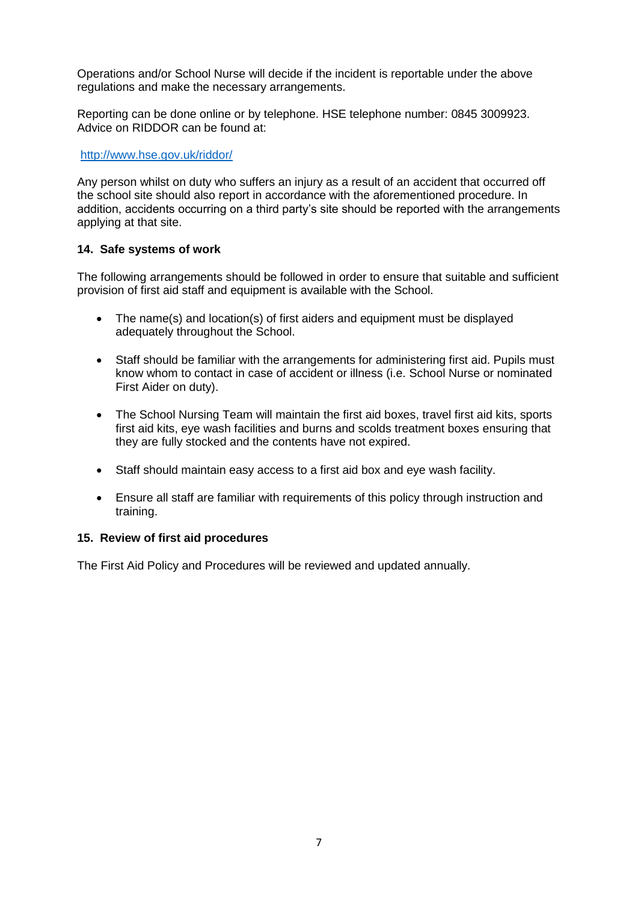Operations and/or School Nurse will decide if the incident is reportable under the above regulations and make the necessary arrangements.

Reporting can be done online or by telephone. HSE telephone number: 0845 3009923. Advice on RIDDOR can be found at:

#### <http://www.hse.gov.uk/riddor/>

Any person whilst on duty who suffers an injury as a result of an accident that occurred off the school site should also report in accordance with the aforementioned procedure. In addition, accidents occurring on a third party's site should be reported with the arrangements applying at that site.

#### **14. Safe systems of work**

The following arrangements should be followed in order to ensure that suitable and sufficient provision of first aid staff and equipment is available with the School.

- The name(s) and location(s) of first aiders and equipment must be displayed adequately throughout the School.
- Staff should be familiar with the arrangements for administering first aid. Pupils must know whom to contact in case of accident or illness (i.e. School Nurse or nominated First Aider on duty).
- The School Nursing Team will maintain the first aid boxes, travel first aid kits, sports first aid kits, eye wash facilities and burns and scolds treatment boxes ensuring that they are fully stocked and the contents have not expired.
- Staff should maintain easy access to a first aid box and eye wash facility.
- Ensure all staff are familiar with requirements of this policy through instruction and training.

#### **15. Review of first aid procedures**

The First Aid Policy and Procedures will be reviewed and updated annually.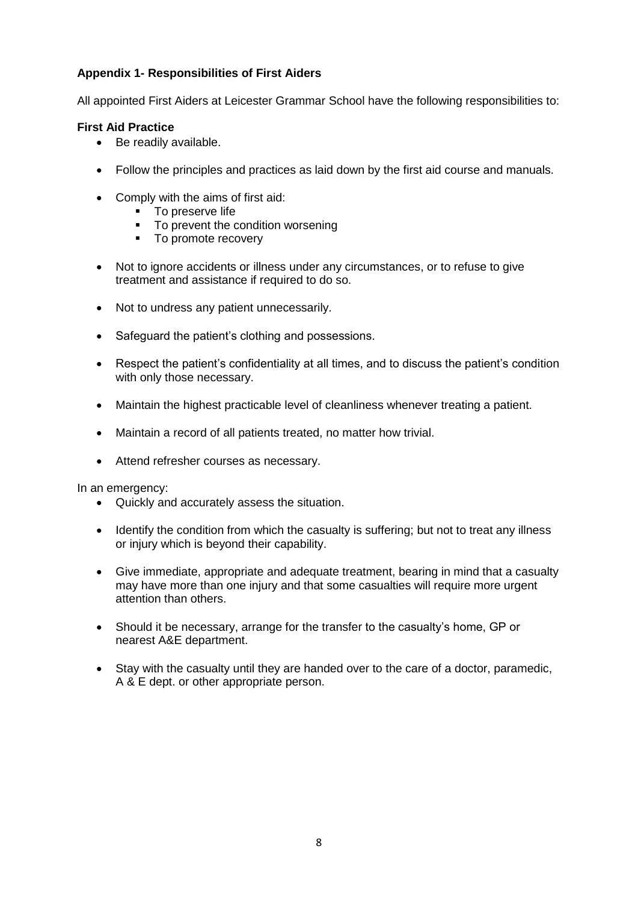# **Appendix 1- Responsibilities of First Aiders**

All appointed First Aiders at Leicester Grammar School have the following responsibilities to:

# **First Aid Practice**

- Be readily available.
- Follow the principles and practices as laid down by the first aid course and manuals.
- Comply with the aims of first aid:
	- **To preserve life**
	- To prevent the condition worsening
	- To promote recovery
- Not to ignore accidents or illness under any circumstances, or to refuse to give treatment and assistance if required to do so.
- Not to undress any patient unnecessarily.
- Safeguard the patient's clothing and possessions.
- Respect the patient's confidentiality at all times, and to discuss the patient's condition with only those necessary.
- Maintain the highest practicable level of cleanliness whenever treating a patient.
- Maintain a record of all patients treated, no matter how trivial.
- Attend refresher courses as necessary.

In an emergency:

- Quickly and accurately assess the situation.
- Identify the condition from which the casualty is suffering; but not to treat any illness or injury which is beyond their capability.
- Give immediate, appropriate and adequate treatment, bearing in mind that a casualty may have more than one injury and that some casualties will require more urgent attention than others.
- Should it be necessary, arrange for the transfer to the casualty's home, GP or nearest A&E department.
- Stay with the casualty until they are handed over to the care of a doctor, paramedic, A & E dept. or other appropriate person.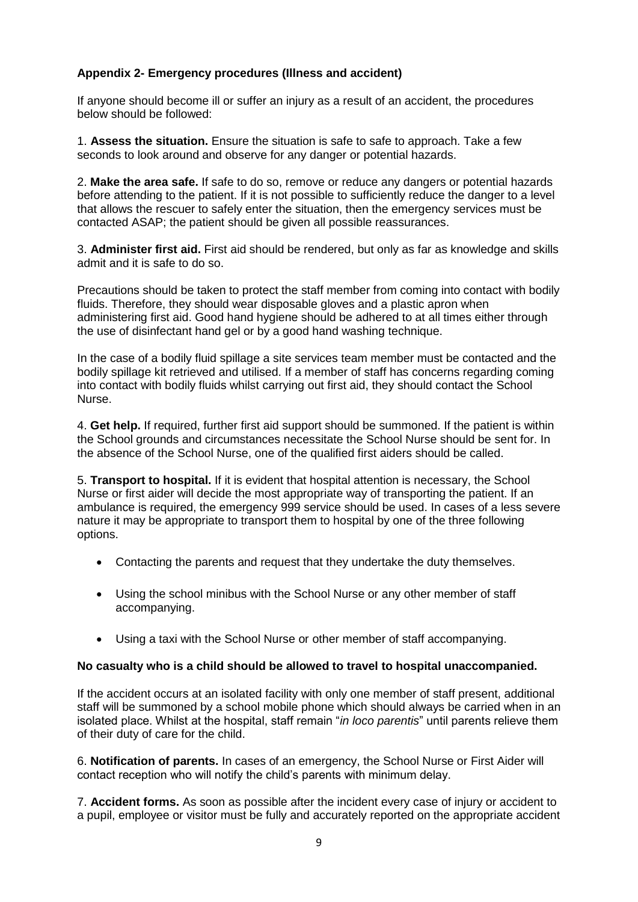# **Appendix 2- Emergency procedures (Illness and accident)**

If anyone should become ill or suffer an injury as a result of an accident, the procedures below should be followed:

1. **Assess the situation.** Ensure the situation is safe to safe to approach. Take a few seconds to look around and observe for any danger or potential hazards.

2. **Make the area safe.** If safe to do so, remove or reduce any dangers or potential hazards before attending to the patient. If it is not possible to sufficiently reduce the danger to a level that allows the rescuer to safely enter the situation, then the emergency services must be contacted ASAP; the patient should be given all possible reassurances.

3. **Administer first aid.** First aid should be rendered, but only as far as knowledge and skills admit and it is safe to do so.

Precautions should be taken to protect the staff member from coming into contact with bodily fluids. Therefore, they should wear disposable gloves and a plastic apron when administering first aid. Good hand hygiene should be adhered to at all times either through the use of disinfectant hand gel or by a good hand washing technique.

In the case of a bodily fluid spillage a site services team member must be contacted and the bodily spillage kit retrieved and utilised. If a member of staff has concerns regarding coming into contact with bodily fluids whilst carrying out first aid, they should contact the School Nurse.

4. **Get help.** If required, further first aid support should be summoned. If the patient is within the School grounds and circumstances necessitate the School Nurse should be sent for. In the absence of the School Nurse, one of the qualified first aiders should be called.

5. **Transport to hospital.** If it is evident that hospital attention is necessary, the School Nurse or first aider will decide the most appropriate way of transporting the patient. If an ambulance is required, the emergency 999 service should be used. In cases of a less severe nature it may be appropriate to transport them to hospital by one of the three following options.

- Contacting the parents and request that they undertake the duty themselves.
- Using the school minibus with the School Nurse or any other member of staff accompanying.
- Using a taxi with the School Nurse or other member of staff accompanying.

#### **No casualty who is a child should be allowed to travel to hospital unaccompanied.**

If the accident occurs at an isolated facility with only one member of staff present, additional staff will be summoned by a school mobile phone which should always be carried when in an isolated place. Whilst at the hospital, staff remain "*in loco parentis*" until parents relieve them of their duty of care for the child.

6. **Notification of parents.** In cases of an emergency, the School Nurse or First Aider will contact reception who will notify the child's parents with minimum delay.

7. **Accident forms.** As soon as possible after the incident every case of injury or accident to a pupil, employee or visitor must be fully and accurately reported on the appropriate accident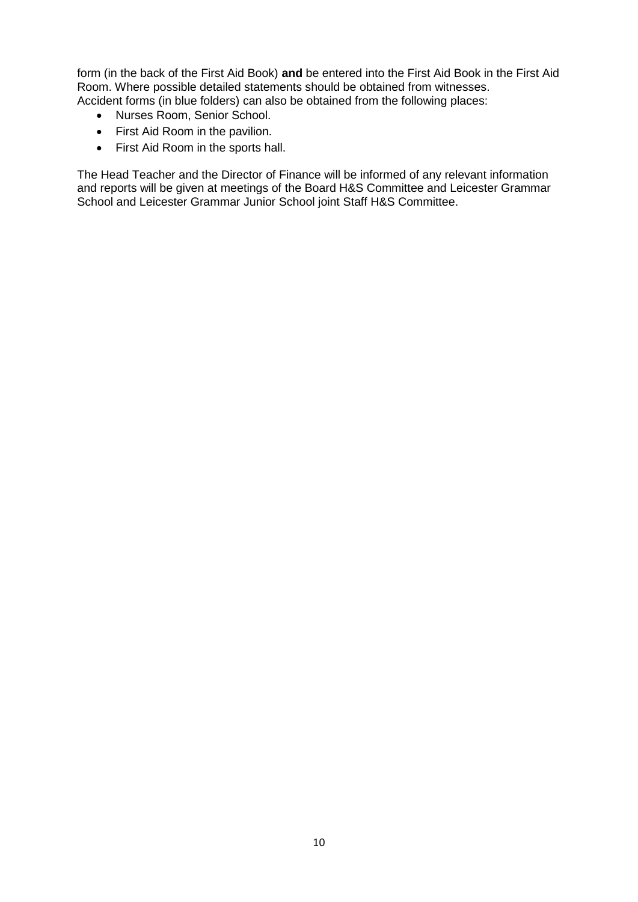form (in the back of the First Aid Book) **and** be entered into the First Aid Book in the First Aid Room. Where possible detailed statements should be obtained from witnesses. Accident forms (in blue folders) can also be obtained from the following places:

- Nurses Room, Senior School.
- First Aid Room in the pavilion.
- First Aid Room in the sports hall.

The Head Teacher and the Director of Finance will be informed of any relevant information and reports will be given at meetings of the Board H&S Committee and Leicester Grammar School and Leicester Grammar Junior School joint Staff H&S Committee.